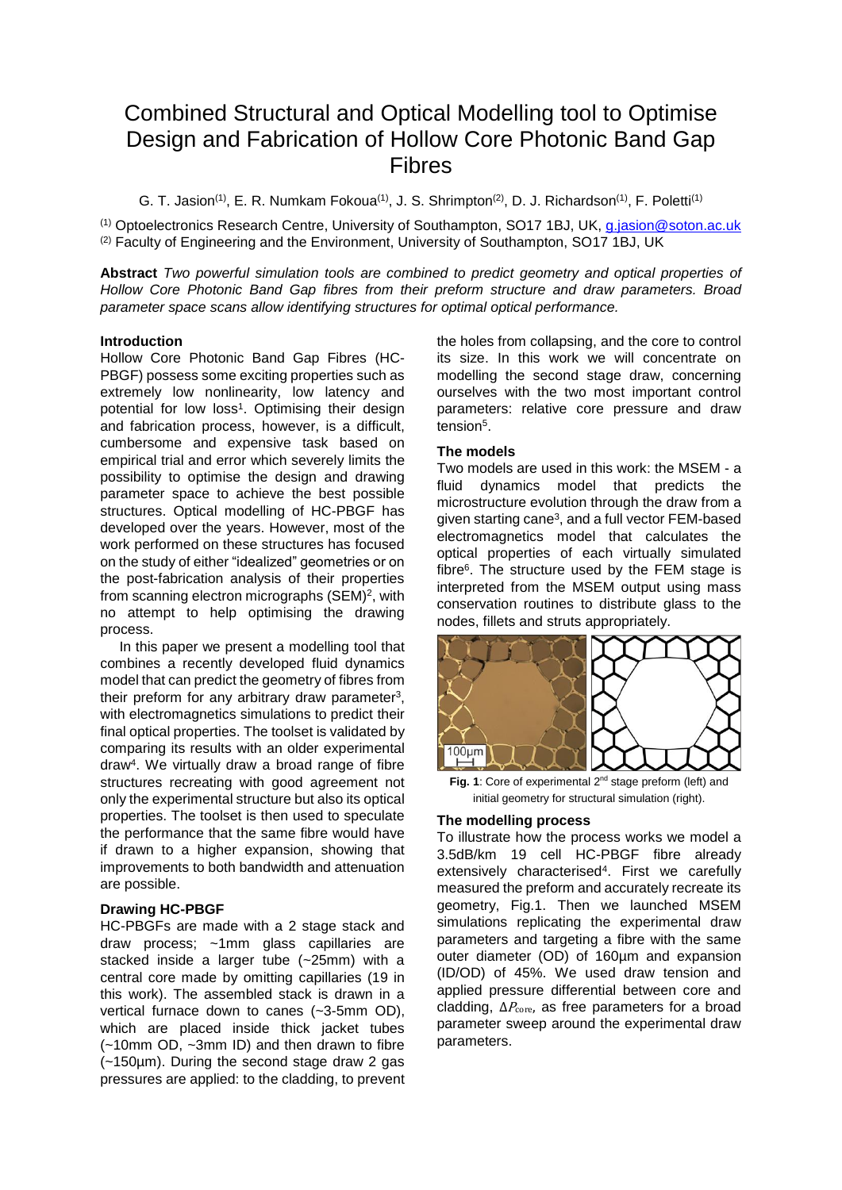# Combined Structural and Optical Modelling tool to Optimise Design and Fabrication of Hollow Core Photonic Band Gap Fibres

G. T. Jasion<sup>(1)</sup>, E. R. Numkam Fokoua<sup>(1)</sup>, J. S. Shrimpton<sup>(2)</sup>, D. J. Richardson<sup>(1)</sup>, F. Poletti<sup>(1)</sup>

(1) Optoelectronics Research Centre, University of Southampton, SO17 1BJ, UK, [g.jasion@soton.ac.uk](mailto:g.jasion@soton.ac.uk) (2) Faculty of Engineering and the Environment, University of Southampton, SO17 1BJ, UK

**Abstract** *Two powerful simulation tools are combined to predict geometry and optical properties of Hollow Core Photonic Band Gap fibres from their preform structure and draw parameters. Broad parameter space scans allow identifying structures for optimal optical performance.*

#### **Introduction**

Hollow Core Photonic Band Gap Fibres (HC-PBGF) possess some exciting properties such as extremely low nonlinearity, low latency and potential for low loss<sup>1</sup>. Optimising their design and fabrication process, however, is a difficult, cumbersome and expensive task based on empirical trial and error which severely limits the possibility to optimise the design and drawing parameter space to achieve the best possible structures. Optical modelling of HC-PBGF has developed over the years. However, most of the work performed on these structures has focused on the study of either "idealized" geometries or on the post-fabrication analysis of their properties from scanning electron micrographs (SEM)<sup>2</sup>, with no attempt to help optimising the drawing process.

In this paper we present a modelling tool that combines a recently developed fluid dynamics model that can predict the geometry of fibres from their preform for any arbitrary draw parameter<sup>3</sup>, with electromagnetics simulations to predict their final optical properties. The toolset is validated by comparing its results with an older experimental draw<sup>4</sup> . We virtually draw a broad range of fibre structures recreating with good agreement not only the experimental structure but also its optical properties. The toolset is then used to speculate the performance that the same fibre would have if drawn to a higher expansion, showing that improvements to both bandwidth and attenuation are possible.

## **Drawing HC-PBGF**

HC-PBGFs are made with a 2 stage stack and draw process; ~1mm glass capillaries are stacked inside a larger tube (~25mm) with a central core made by omitting capillaries (19 in this work). The assembled stack is drawn in a vertical furnace down to canes (~3-5mm OD), which are placed inside thick jacket tubes (~10mm OD, ~3mm ID) and then drawn to fibre (~150µm). During the second stage draw 2 gas pressures are applied: to the cladding, to prevent

the holes from collapsing, and the core to control its size. In this work we will concentrate on modelling the second stage draw, concerning ourselves with the two most important control parameters: relative core pressure and draw tension<sup>5</sup>.

## **The models**

Two models are used in this work: the MSEM - a fluid dynamics model that predicts the microstructure evolution through the draw from a given starting cane<sup>3</sup>, and a full vector FEM-based electromagnetics model that calculates the optical properties of each virtually simulated fibre<sup>6</sup>. The structure used by the FEM stage is interpreted from the MSEM output using mass conservation routines to distribute glass to the nodes, fillets and struts appropriately.



Fig. 1: Core of experimental 2<sup>nd</sup> stage preform (left) and initial geometry for structural simulation (right).

### **The modelling process**

To illustrate how the process works we model a 3.5dB/km 19 cell HC-PBGF fibre already extensively characterised<sup>4</sup> . First we carefully measured the preform and accurately recreate its geometry, Fig.1. Then we launched MSEM simulations replicating the experimental draw parameters and targeting a fibre with the same outer diameter (OD) of 160µm and expansion (ID/OD) of 45%. We used draw tension and applied pressure differential between core and cladding,  $\Delta P_{\text{core}}$ , as free parameters for a broad parameter sweep around the experimental draw parameters.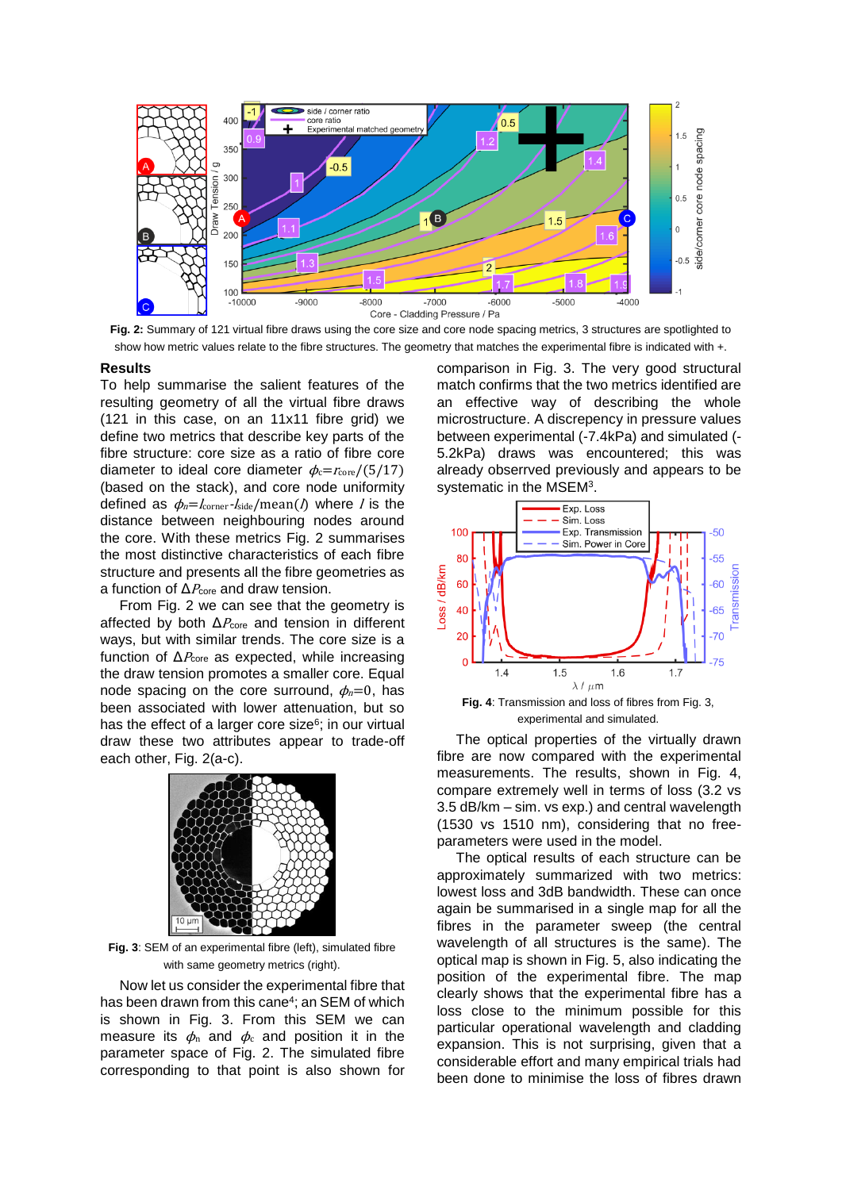

**Fig. 2:** Summary of 121 virtual fibre draws using the core size and core node spacing metrics, 3 structures are spotlighted to show how metric values relate to the fibre structures. The geometry that matches the experimental fibre is indicated with +.

#### **Results**

To help summarise the salient features of the resulting geometry of all the virtual fibre draws (121 in this case, on an 11x11 fibre grid) we define two metrics that describe key parts of the fibre structure: core size as a ratio of fibre core diameter to ideal core diameter  $\phi_c = r_{\text{core}}/(5/17)$ (based on the stack), and core node uniformity defined as  $\phi_n = I_{\text{corner}} - I_{\text{side}} / \text{mean}(\Lambda)$  where *l* is the distance between neighbouring nodes around the core. With these metrics Fig. 2 summarises the most distinctive characteristics of each fibre structure and presents all the fibre geometries as a function of  $\Delta P_{\text{core}}$  and draw tension.

From Fig. 2 we can see that the geometry is affected by both  $\Delta P_{\text{core}}$  and tension in different ways, but with similar trends. The core size is a function of  $\Delta P_{\text{core}}$  as expected, while increasing the draw tension promotes a smaller core. Equal node spacing on the core surround,  $\phi_n=0$ , has been associated with lower attenuation, but so has the effect of a larger core size<sup>6</sup>; in our virtual draw these two attributes appear to trade-off each other, Fig. 2(a-c).



**Fig. 3**: SEM of an experimental fibre (left), simulated fibre with same geometry metrics (right).

Now let us consider the experimental fibre that has been drawn from this cane<sup>4</sup>; an SEM of which is shown in Fig. 3. From this SEM we can measure its  $\phi_n$  and  $\phi_c$  and position it in the parameter space of Fig. 2. The simulated fibre corresponding to that point is also shown for comparison in Fig. 3. The very good structural match confirms that the two metrics identified are an effective way of describing the whole microstructure. A discrepency in pressure values between experimental (-7.4kPa) and simulated (- 5.2kPa) draws was encountered; this was already obserrved previously and appears to be systematic in the MSEM<sup>3</sup>.



experimental and simulated.

The optical properties of the virtually drawn fibre are now compared with the experimental measurements. The results, shown in Fig. 4, compare extremely well in terms of loss (3.2 vs 3.5 dB/km – sim. vs exp.) and central wavelength (1530 vs 1510 nm), considering that no freeparameters were used in the model.

The optical results of each structure can be approximately summarized with two metrics: lowest loss and 3dB bandwidth. These can once again be summarised in a single map for all the fibres in the parameter sweep (the central wavelength of all structures is the same). The optical map is shown in Fig. 5, also indicating the position of the experimental fibre. The map clearly shows that the experimental fibre has a loss close to the minimum possible for this particular operational wavelength and cladding expansion. This is not surprising, given that a considerable effort and many empirical trials had been done to minimise the loss of fibres drawn